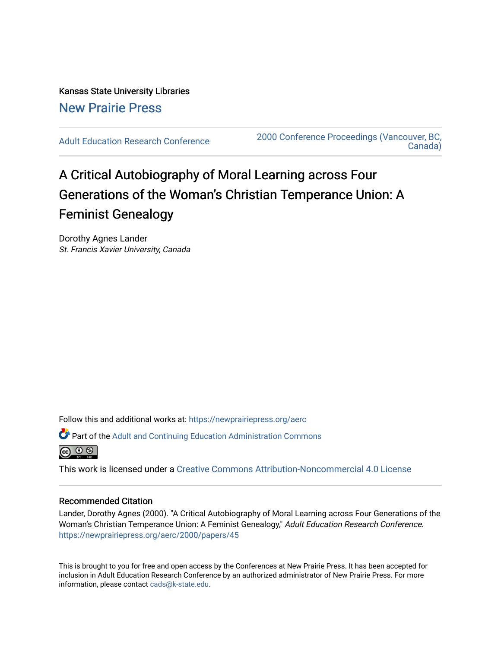# Kansas State University Libraries [New Prairie Press](https://newprairiepress.org/)

[Adult Education Research Conference](https://newprairiepress.org/aerc) [2000 Conference Proceedings \(Vancouver, BC,](https://newprairiepress.org/aerc/2000)  [Canada\)](https://newprairiepress.org/aerc/2000) 

# A Critical Autobiography of Moral Learning across Four Generations of the Woman's Christian Temperance Union: A Feminist Genealogy

Dorothy Agnes Lander St. Francis Xavier University, Canada

Follow this and additional works at: [https://newprairiepress.org/aerc](https://newprairiepress.org/aerc?utm_source=newprairiepress.org%2Faerc%2F2000%2Fpapers%2F45&utm_medium=PDF&utm_campaign=PDFCoverPages)

Part of the [Adult and Continuing Education Administration Commons](http://network.bepress.com/hgg/discipline/789?utm_source=newprairiepress.org%2Faerc%2F2000%2Fpapers%2F45&utm_medium=PDF&utm_campaign=PDFCoverPages)



This work is licensed under a [Creative Commons Attribution-Noncommercial 4.0 License](https://creativecommons.org/licenses/by-nc/4.0/)

# Recommended Citation

Lander, Dorothy Agnes (2000). "A Critical Autobiography of Moral Learning across Four Generations of the Woman's Christian Temperance Union: A Feminist Genealogy," Adult Education Research Conference. <https://newprairiepress.org/aerc/2000/papers/45>

This is brought to you for free and open access by the Conferences at New Prairie Press. It has been accepted for inclusion in Adult Education Research Conference by an authorized administrator of New Prairie Press. For more information, please contact [cads@k-state.edu](mailto:cads@k-state.edu).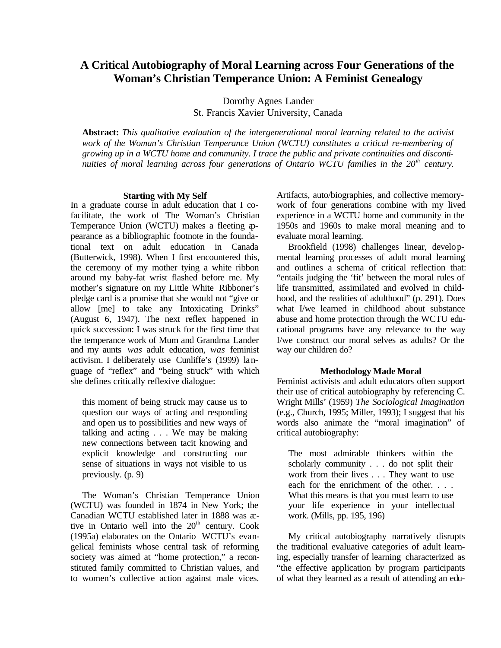# **A Critical Autobiography of Moral Learning across Four Generations of the Woman's Christian Temperance Union: A Feminist Genealogy**

Dorothy Agnes Lander St. Francis Xavier University, Canada

**Abstract:** *This qualitative evaluation of the intergenerational moral learning related to the activist work of the Woman's Christian Temperance Union (WCTU) constitutes a critical re-membering of growing up in a WCTU home and community. I trace the public and private continuities and discontinuities of moral learning across four generations of Ontario WCTU families in the 20<sup>th</sup> century.* 

#### **Starting with My Self**

In a graduate course in adult education that I cofacilitate, the work of The Woman's Christian Temperance Union (WCTU) makes a fleeting appearance as a bibliographic footnote in the foundational text on adult education in Canada (Butterwick, 1998). When I first encountered this, the ceremony of my mother tying a white ribbon around my baby-fat wrist flashed before me. My mother's signature on my Little White Ribboner's pledge card is a promise that she would not "give or allow [me] to take any Intoxicating Drinks" (August 6, 1947). The next reflex happened in quick succession: I was struck for the first time that the temperance work of Mum and Grandma Lander and my aunts *was* adult education, *was* feminist activism. I deliberately use Cunliffe's (1999) language of "reflex" and "being struck" with which she defines critically reflexive dialogue:

this moment of being struck may cause us to question our ways of acting and responding and open us to possibilities and new ways of talking and acting . . . We may be making new connections between tacit knowing and explicit knowledge and constructing our sense of situations in ways not visible to us previously. (p. 9)

The Woman's Christian Temperance Union (WCTU) was founded in 1874 in New York; the Canadian WCTU established later in 1888 was active in Ontario well into the  $20<sup>th</sup>$  century. Cook (1995a) elaborates on the Ontario WCTU's evangelical feminists whose central task of reforming society was aimed at "home protection," a reconstituted family committed to Christian values, and to women's collective action against male vices. Artifacts, auto/biographies, and collective memorywork of four generations combine with my lived experience in a WCTU home and community in the 1950s and 1960s to make moral meaning and to evaluate moral learning.

Brookfield (1998) challenges linear, developmental learning processes of adult moral learning and outlines a schema of critical reflection that: "entails judging the 'fit' between the moral rules of life transmitted, assimilated and evolved in childhood, and the realities of adulthood" (p. 291). Does what I/we learned in childhood about substance abuse and home protection through the WCTU educational programs have any relevance to the way I/we construct our moral selves as adults? Or the way our children do?

#### **Methodology Made Moral**

Feminist activists and adult educators often support their use of critical autobiography by referencing C. Wright Mills' (1959) *The Sociological Imagination* (e.g., Church, 1995; Miller, 1993); I suggest that his words also animate the "moral imagination" of critical autobiography:

The most admirable thinkers within the scholarly community . . . do not split their work from their lives . . . They want to use each for the enrichment of the other. . . . What this means is that you must learn to use your life experience in your intellectual work. (Mills, pp. 195, 196)

My critical autobiography narratively disrupts the traditional evaluative categories of adult learning, especially transfer of learning characterized as "the effective application by program participants of what they learned as a result of attending an edu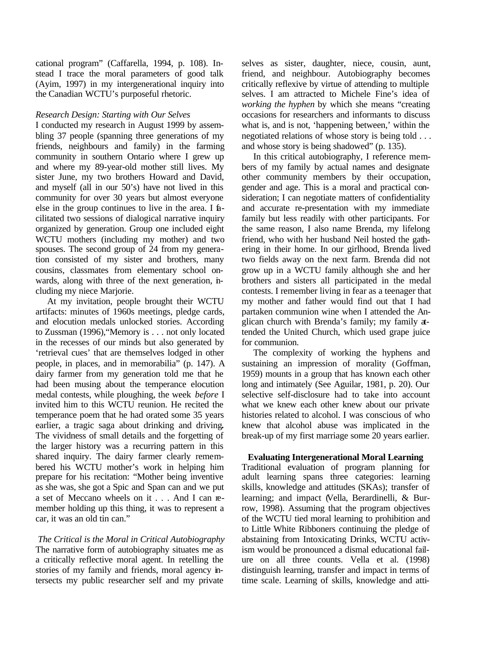cational program" (Caffarella, 1994, p. 108). Instead I trace the moral parameters of good talk (Ayim, 1997) in my intergenerational inquiry into the Canadian WCTU's purposeful rhetoric.

## *Research Design: Starting with Our Selves*

I conducted my research in August 1999 by assembling 37 people (spanning three generations of my friends, neighbours and family) in the farming community in southern Ontario where I grew up and where my 89-year-old mother still lives. My sister June, my two brothers Howard and David, and myself (all in our 50's) have not lived in this community for over 30 years but almost everyone else in the group continues to live in the area. I facilitated two sessions of dialogical narrative inquiry organized by generation. Group one included eight WCTU mothers (including my mother) and two spouses. The second group of 24 from my generation consisted of my sister and brothers, many cousins, classmates from elementary school onwards, along with three of the next generation, including my niece Marjorie.

At my invitation, people brought their WCTU artifacts: minutes of 1960s meetings, pledge cards, and elocution medals unlocked stories. According to Zussman (1996),"Memory is . . . not only located in the recesses of our minds but also generated by 'retrieval cues' that are themselves lodged in other people, in places, and in memorabilia" (p. 147). A dairy farmer from my generation told me that he had been musing about the temperance elocution medal contests, while ploughing, the week *before* I invited him to this WCTU reunion. He recited the temperance poem that he had orated some 35 years earlier, a tragic saga about drinking and driving**.** The vividness of small details and the forgetting of the larger history was a recurring pattern in this shared inquiry. The dairy farmer clearly remembered his WCTU mother's work in helping him prepare for his recitation: "Mother being inventive as she was, she got a Spic and Span can and we put a set of Meccano wheels on it . . . And I can remember holding up this thing, it was to represent a car, it was an old tin can."

 *The Critical is the Moral in Critical Autobiography* The narrative form of autobiography situates me as a critically reflective moral agent. In retelling the stories of my family and friends, moral agency intersects my public researcher self and my private

selves as sister, daughter, niece, cousin, aunt, friend, and neighbour. Autobiography becomes critically reflexive by virtue of attending to multiple selves. I am attracted to Michele Fine's idea of *working the hyphen* by which she means "creating occasions for researchers and informants to discuss what is, and is not, 'happening between,' within the negotiated relations of whose story is being told . . . and whose story is being shadowed" (p. 135).

In this critical autobiography, I reference members of my family by actual names and designate other community members by their occupation, gender and age. This is a moral and practical consideration; I can negotiate matters of confidentiality and accurate re-presentation with my immediate family but less readily with other participants. For the same reason, I also name Brenda, my lifelong friend, who with her husband Neil hosted the gathering in their home. In our girlhood, Brenda lived two fields away on the next farm. Brenda did not grow up in a WCTU family although she and her brothers and sisters all participated in the medal contests. I remember living in fear as a teenager that my mother and father would find out that I had partaken communion wine when I attended the Anglican church with Brenda's family; my family attended the United Church, which used grape juice for communion.

The complexity of working the hyphens and sustaining an impression of morality (Goffman, 1959) mounts in a group that has known each other long and intimately (See Aguilar, 1981, p. 20). Our selective self-disclosure had to take into account what we knew each other knew about our private histories related to alcohol. I was conscious of who knew that alcohol abuse was implicated in the break-up of my first marriage some 20 years earlier.

# **Evaluating Intergenerational Moral Learning**

Traditional evaluation of program planning for adult learning spans three categories: learning skills, knowledge and attitudes (SKAs); transfer of learning; and impact (Vella, Berardinelli, & Burrow, 1998). Assuming that the program objectives of the WCTU tied moral learning to prohibition and to Little White Ribboners continuing the pledge of abstaining from Intoxicating Drinks, WCTU activism would be pronounced a dismal educational failure on all three counts. Vella et al. (1998) distinguish learning, transfer and impact in terms of time scale. Learning of skills, knowledge and atti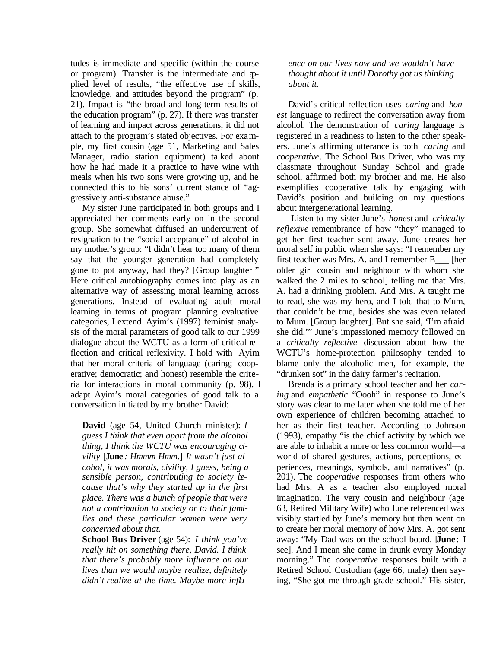tudes is immediate and specific (within the course or program). Transfer is the intermediate and applied level of results, "the effective use of skills, knowledge, and attitudes beyond the program" (p. 21). Impact is "the broad and long-term results of the education program" (p. 27). If there was transfer of learning and impact across generations, it did not attach to the program's stated objectives. For example, my first cousin (age 51, Marketing and Sales Manager, radio station equipment) talked about how he had made it a practice to have wine with meals when his two sons were growing up, and he connected this to his sons' current stance of "aggressively anti-substance abuse."

My sister June participated in both groups and I appreciated her comments early on in the second group. She somewhat diffused an undercurrent of resignation to the "social acceptance" of alcohol in my mother's group: "I didn't hear too many of them say that the younger generation had completely gone to pot anyway, had they? [Group laughter]" Here critical autobiography comes into play as an alternative way of assessing moral learning across generations. Instead of evaluating adult moral learning in terms of program planning evaluative categories, I extend Ayim's (1997) feminist analysis of the moral parameters of good talk to our 1999 dialogue about the WCTU as a form of critical reflection and critical reflexivity. I hold with Ayim that her moral criteria of language (caring; cooperative; democratic; and honest) resemble the criteria for interactions in moral community (p. 98). I adapt Ayim's moral categories of good talk to a conversation initiated by my brother David:

**David** (age 54, United Church minister): *I guess I think that even apart from the alcohol thing, I think the WCTU was encouraging civility* [**June** *: Hmmm Hmm*.] *It wasn't just alcohol, it was morals, civility, I guess, being a sensible person, contributing to society because that's why they started up in the first place. There was a bunch of people that were not a contribution to society or to their families and these particular women were very concerned about that.*

**School Bus Driver** (age 54): *I think you've really hit on something there, David. I think that there's probably more influence on our lives than we would maybe realize, definitely didn't realize at the time. Maybe more influ-* *ence on our lives now and we wouldn't have thought about it until Dorothy got us thinking about it.*

David's critical reflection uses *caring* and *honest* language to redirect the conversation away from alcohol. The demonstration of *caring* language is registered in a readiness to listen to the other speakers. June's affirming utterance is both *caring* and *cooperative*. The School Bus Driver, who was my classmate throughout Sunday School and grade school, affirmed both my brother and me. He also exemplifies cooperative talk by engaging with David's position and building on my questions about intergenerational learning.

 Listen to my sister June's *honest* and *critically reflexive* remembrance of how "they" managed to get her first teacher sent away. June creates her moral self in public when she says: "I remember my first teacher was Mrs. A. and I remember E\_\_\_ [her older girl cousin and neighbour with whom she walked the 2 miles to school] telling me that Mrs. A. had a drinking problem. And Mrs. A taught me to read, she was my hero, and I told that to Mum, that couldn't be true, besides she was even related to Mum. [Group laughter]. But she said, 'I'm afraid she did.'" June's impassioned memory followed on a *critically reflective* discussion about how the WCTU's home-protection philosophy tended to blame only the alcoholic men, for example, the "drunken sot" in the dairy farmer's recitation.

Brenda is a primary school teacher and her *caring* and *empathetic* "Oooh" in response to June's story was clear to me later when she told me of her own experience of children becoming attached to her as their first teacher. According to Johnson (1993), empathy "is the chief activity by which we are able to inhabit a more or less common world—a world of shared gestures, actions, perceptions, experiences, meanings, symbols, and narratives" (p. 201). The *cooperative* responses from others who had Mrs. A as a teacher also employed moral imagination. The very cousin and neighbour (age 63, Retired Military Wife) who June referenced was visibly startled by June's memory but then went on to create her moral memory of how Mrs. A. got sent away: "My Dad was on the school board. [**June** : I see]. And I mean she came in drunk every Monday morning." The *cooperative* responses built with a Retired School Custodian (age 66, male) then saying, "She got me through grade school." His sister,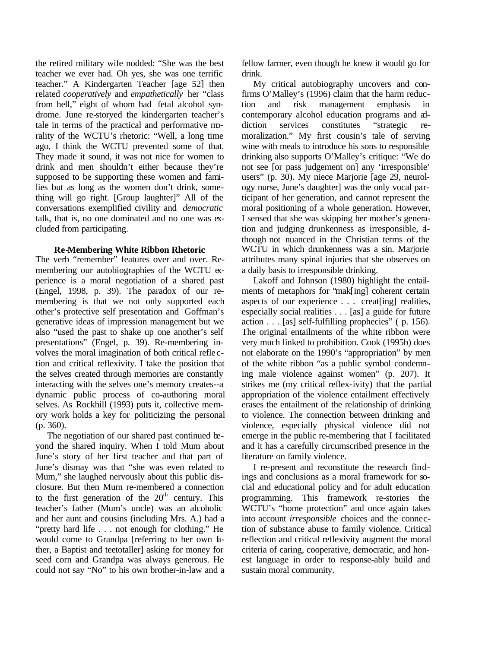the retired military wife nodded: "She was the best teacher we ever had. Oh yes, she was one terrific teacher." A Kindergarten Teacher [age 52] then related *cooperatively* and *empathetically* her "class from hell," eight of whom had fetal alcohol syndrome. June re-storyed the kindergarten teacher's tale in terms of the practical and performative morality of the WCTU's rhetoric: "Well, a long time ago, I think the WCTU prevented some of that. They made it sound, it was not nice for women to drink and men shouldn't either because they're supposed to be supporting these women and families but as long as the women don't drink, something will go right. [Group laughter]" All of the conversations exemplified civility and *democratic* talk, that is, no one dominated and no one was excluded from participating.

## **Re-Membering White Ribbon Rhetoric**

The verb "remember" features over and over. Remembering our autobiographies of the WCTU experience is a moral negotiation of a shared past (Engel, 1998, p. 39). The paradox of our remembering is that we not only supported each other's protective self presentation and Goffman's generative ideas of impression management but we also "used the past to shake up one another's self presentations" (Engel, p. 39). Re-membering involves the moral imagination of both critical refle ction and critical reflexivity. I take the position that the selves created through memories are constantly interacting with the selves one's memory creates--a dynamic public process of co-authoring moral selves. As Rockhill (1993) puts it, collective memory work holds a key for politicizing the personal (p. 360).

The negotiation of our shared past continued beyond the shared inquiry. When I told Mum about June's story of her first teacher and that part of June's dismay was that "she was even related to Mum," she laughed nervously about this public disclosure. But then Mum re-membered a connection to the first generation of the  $20<sup>th</sup>$  century. This teacher's father (Mum's uncle) was an alcoholic and her aunt and cousins (including Mrs. A.) had a "pretty hard life . . . not enough for clothing." He would come to Grandpa [referring to her own father, a Baptist and teetotaller] asking for money for seed corn and Grandpa was always generous. He could not say "No" to his own brother-in-law and a fellow farmer, even though he knew it would go for drink.

My critical autobiography uncovers and confirms O'Malley's (1996) claim that the harm reduction and risk management emphasis in contemporary alcohol education programs and addiction services constitutes "strategic remoralization." My first cousin's tale of serving wine with meals to introduce his sons to responsible drinking also supports O'Malley's critique: "We do not see [or pass judgement on] any 'irresponsible' users" (p. 30). My niece Marjorie [age 29, neurology nurse, June's daughter] was the only vocal participant of her generation, and cannot represent the moral positioning of a whole generation. However, I sensed that she was skipping her mother's generation and judging drunkenness as irresponsible, although not nuanced in the Christian terms of the WCTU in which drunkenness was a sin. Marjorie attributes many spinal injuries that she observes on a daily basis to irresponsible drinking.

Lakoff and Johnson (1980) highlight the entailments of metaphors for "mak[ing] coherent certain aspects of our experience . . . creat[ing] realities, especially social realities . . . [as] a guide for future action . . . [as] self-fulfilling prophecies" ( p. 156). The original entailments of the white ribbon were very much linked to prohibition. Cook (1995b) does not elaborate on the 1990's "appropriation" by men of the white ribbon "as a public symbol condemning male violence against women" (p. 207). It strikes me (my critical reflex-ivity) that the partial appropriation of the violence entailment effectively erases the entailment of the relationship of drinking to violence. The connection between drinking and violence, especially physical violence did not emerge in the public re-membering that I facilitated and it has a carefully circumscribed presence in the literature on family violence.

I re-present and reconstitute the research findings and conclusions as a moral framework for social and educational policy and for adult education programming. This framework re-stories the WCTU's "home protection" and once again takes into account *irresponsible* choices and the connection of substance abuse to family violence. Critical reflection and critical reflexivity augment the moral criteria of caring, cooperative, democratic, and honest language in order to response-ably build and sustain moral community.